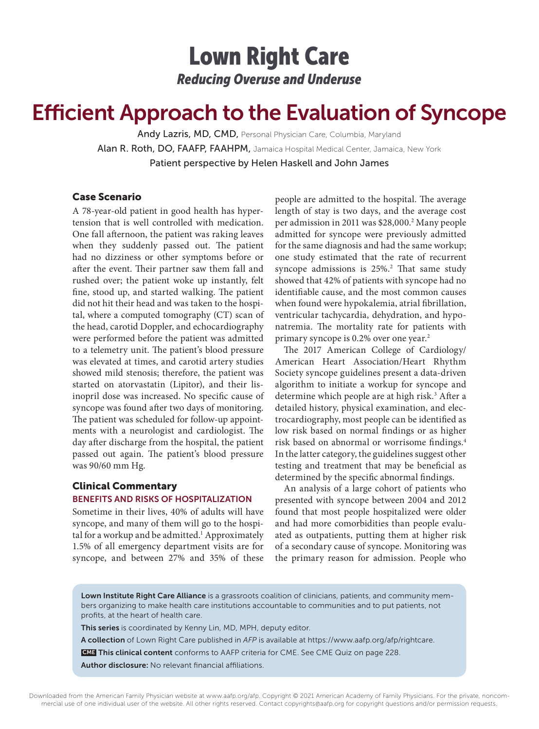## Lown Right Care *Reducing Overuse and Underuse*

# Efficient Approach to the Evaluation of Syncope

Andy Lazris, MD, CMD, Personal Physician Care, Columbia, Maryland Alan R. Roth, DO, FAAFP, FAAHPM, Jamaica Hospital Medical Center, Jamaica, New York Patient perspective by Helen Haskell and John James

#### Case Scenario

A 78-year-old patient in good health has hypertension that is well controlled with medication. One fall afternoon, the patient was raking leaves when they suddenly passed out. The patient had no dizziness or other symptoms before or after the event. Their partner saw them fall and rushed over; the patient woke up instantly, felt fine, stood up, and started walking. The patient did not hit their head and was taken to the hospital, where a computed tomography (CT) scan of the head, carotid Doppler, and echocardiography were performed before the patient was admitted to a telemetry unit. The patient's blood pressure was elevated at times, and carotid artery studies showed mild stenosis; therefore, the patient was started on atorvastatin (Lipitor), and their lisinopril dose was increased. No specific cause of syncope was found after two days of monitoring. The patient was scheduled for follow-up appointments with a neurologist and cardiologist. The day after discharge from the hospital, the patient passed out again. The patient's blood pressure was 90/60 mm Hg.

## Clinical Commentary BENEFITS AND RISKS OF HOSPITALIZATION

Sometime in their lives, 40% of adults will have syncope, and many of them will go to the hospital for a workup and be admitted.<sup>1</sup> Approximately 1.5% of all emergency department visits are for syncope, and between 27% and 35% of these

people are admitted to the hospital. The average length of stay is two days, and the average cost per admission in 2011 was \$28,000.2 Many people admitted for syncope were previously admitted for the same diagnosis and had the same workup; one study estimated that the rate of recurrent syncope admissions is 25%.<sup>2</sup> That same study showed that 42% of patients with syncope had no identifiable cause, and the most common causes when found were hypokalemia, atrial fibrillation, ventricular tachycardia, dehydration, and hyponatremia. The mortality rate for patients with primary syncope is 0.2% over one year.<sup>2</sup>

The 2017 American College of Cardiology/ American Heart Association/Heart Rhythm Society syncope guidelines present a data-driven algorithm to initiate a workup for syncope and determine which people are at high risk.<sup>3</sup> After a detailed history, physical examination, and electrocardiography, most people can be identified as low risk based on normal findings or as higher risk based on abnormal or worrisome findings.4 In the latter category, the guidelines suggest other testing and treatment that may be beneficial as determined by the specific abnormal findings.

An analysis of a large cohort of patients who presented with syncope between 2004 and 2012 found that most people hospitalized were older and had more comorbidities than people evaluated as outpatients, putting them at higher risk of a secondary cause of syncope. Monitoring was the primary reason for admission. People who

Lown Institute Right Care Alliance is a grassroots coalition of clinicians, patients, and community members organizing to make health care institutions accountable to communities and to put patients, not profits, at the heart of health care.

This series is coordinated by Kenny Lin, MD, MPH, deputy editor.

A collection of Lown Right Care published in *AFP* is available at https://www.aafp.org/afp/rightcare.

**CME This clinical content** conforms to AAFP criteria for CME. See CME Quiz on page 228.

Author disclosure: No relevant financial affiliations.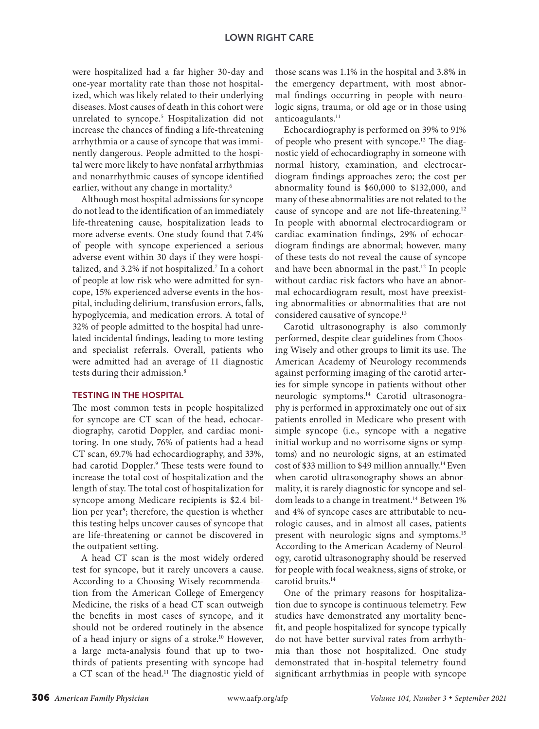were hospitalized had a far higher 30-day and one-year mortality rate than those not hospitalized, which was likely related to their underlying diseases. Most causes of death in this cohort were unrelated to syncope.5 Hospitalization did not increase the chances of finding a life-threatening arrhythmia or a cause of syncope that was imminently dangerous. People admitted to the hospital were more likely to have nonfatal arrhythmias and nonarrhythmic causes of syncope identified earlier, without any change in mortality.<sup>6</sup>

Although most hospital admissions for syncope do not lead to the identification of an immediately life-threatening cause, hospitalization leads to more adverse events. One study found that 7.4% of people with syncope experienced a serious adverse event within 30 days if they were hospitalized, and 3.2% if not hospitalized.<sup>7</sup> In a cohort of people at low risk who were admitted for syncope, 15% experienced adverse events in the hospital, including delirium, transfusion errors, falls, hypoglycemia, and medication errors. A total of 32% of people admitted to the hospital had unrelated incidental findings, leading to more testing and specialist referrals. Overall, patients who were admitted had an average of 11 diagnostic tests during their admission.<sup>8</sup>

#### TESTING IN THE HOSPITAL

The most common tests in people hospitalized for syncope are CT scan of the head, echocardiography, carotid Doppler, and cardiac monitoring. In one study, 76% of patients had a head CT scan, 69.7% had echocardiography, and 33%, had carotid Doppler.9 These tests were found to increase the total cost of hospitalization and the length of stay. The total cost of hospitalization for syncope among Medicare recipients is \$2.4 billion per year<sup>9</sup>; therefore, the question is whether this testing helps uncover causes of syncope that are life-threatening or cannot be discovered in the outpatient setting.

A head CT scan is the most widely ordered test for syncope, but it rarely uncovers a cause. According to a Choosing Wisely recommendation from the American College of Emergency Medicine, the risks of a head CT scan outweigh the benefits in most cases of syncope, and it should not be ordered routinely in the absence of a head injury or signs of a stroke.10 However, a large meta-analysis found that up to twothirds of patients presenting with syncope had a CT scan of the head.11 The diagnostic yield of

those scans was 1.1% in the hospital and 3.8% in the emergency department, with most abnormal findings occurring in people with neurologic signs, trauma, or old age or in those using anticoagulants.<sup>11</sup>

Echocardiography is performed on 39% to 91% of people who present with syncope.12 The diagnostic yield of echocardiography in someone with normal history, examination, and electrocardiogram findings approaches zero; the cost per abnormality found is \$60,000 to \$132,000, and many of these abnormalities are not related to the cause of syncope and are not life-threatening.<sup>12</sup> In people with abnormal electrocardiogram or cardiac examination findings, 29% of echocardiogram findings are abnormal; however, many of these tests do not reveal the cause of syncope and have been abnormal in the past.<sup>12</sup> In people without cardiac risk factors who have an abnormal echocardiogram result, most have preexisting abnormalities or abnormalities that are not considered causative of syncope.13

Carotid ultrasonography is also commonly performed, despite clear guidelines from Choosing Wisely and other groups to limit its use. The American Academy of Neurology recommends against performing imaging of the carotid arteries for simple syncope in patients without other neurologic symptoms.14 Carotid ultrasonography is performed in approximately one out of six patients enrolled in Medicare who present with simple syncope (i.e., syncope with a negative initial workup and no worrisome signs or symptoms) and no neurologic signs, at an estimated cost of \$33 million to \$49 million annually.14 Even when carotid ultrasonography shows an abnormality, it is rarely diagnostic for syncope and seldom leads to a change in treatment.<sup>14</sup> Between 1% and 4% of syncope cases are attributable to neurologic causes, and in almost all cases, patients present with neurologic signs and symptoms.15 According to the American Academy of Neurology, carotid ultrasonography should be reserved for people with focal weakness, signs of stroke, or carotid bruits.14

One of the primary reasons for hospitalization due to syncope is continuous telemetry. Few studies have demonstrated any mortality benefit, and people hospitalized for syncope typically do not have better survival rates from arrhythmia than those not hospitalized. One study demonstrated that in-hospital telemetry found significant arrhythmias in people with syncope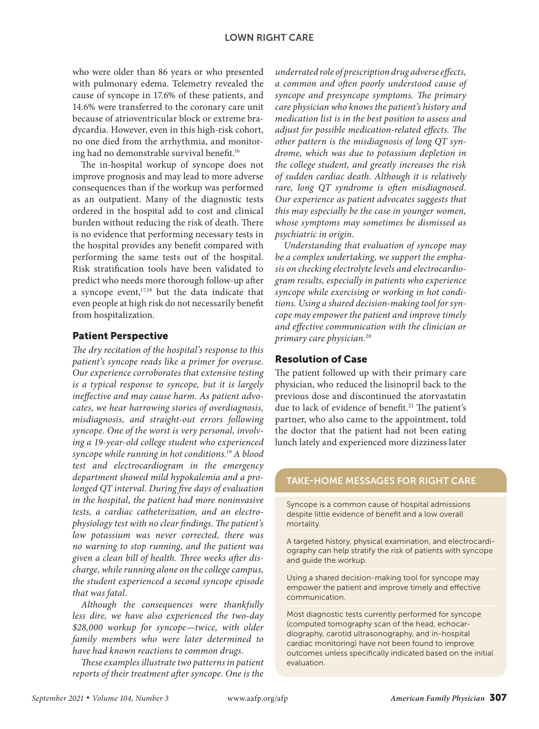#### LOWN RIGHT CARE

who were older than 86 years or who presented with pulmonary edema. Telemetry revealed the cause of syncope in 17.6% of these patients, and 14.6% were transferred to the coronary care unit because of atrioventricular block or extreme bradycardia. However, even in this high-risk cohort, no one died from the arrhythmia, and monitoring had no demonstrable survival benefit.<sup>16</sup>

The in-hospital workup of syncope does not improve prognosis and may lead to more adverse consequences than if the workup was performed as an outpatient. Many of the diagnostic tests ordered in the hospital add to cost and clinical burden without reducing the risk of death. There is no evidence that performing necessary tests in the hospital provides any benefit compared with performing the same tests out of the hospital. Risk stratification tools have been validated to predict who needs more thorough follow-up after a syncope event,<sup>17,18</sup> but the data indicate that even people at high risk do not necessarily benefit from hospitalization.

## Patient Perspective

*The dry recitation of the hospital's response to this patient's syncope reads like a primer for overuse. Our experience corroborates that extensive testing is a typical response to syncope, but it is largely ineffective and may cause harm. As patient advocates, we hear harrowing stories of overdiagnosis, misdiagnosis, and straight-out errors following syncope. One of the worst is very personal, involving a 19-year-old college student who experienced syncope while running in hot conditions.19 A blood test and electrocardiogram in the emergency department showed mild hypokalemia and a prolonged QT interval. During five days of evaluation in the hospital, the patient had more noninvasive tests, a cardiac catheterization, and an electrophysiology test with no clear findings. The patient's low potassium was never corrected, there was no warning to stop running, and the patient was given a clean bill of health. Three weeks after discharge, while running alone on the college campus, the student experienced a second syncope episode that was fatal.*

*Although the consequences were thankfully less dire, we have also experienced the two-day \$28,000 workup for syncope—twice, with older family members who were later determined to have had known reactions to common drugs.*

*These examples illustrate two patterns in patient reports of their treatment after syncope. One is the* 

*underrated role of prescription drug adverse effects, a common and often poorly understood cause of syncope and presyncope symptoms. The primary care physician who knows the patient's history and medication list is in the best position to assess and adjust for possible medication-related effects. The other pattern is the misdiagnosis of long QT syndrome, which was due to potassium depletion in the college student, and greatly increases the risk of sudden cardiac death. Although it is relatively rare, long QT syndrome is often misdiagnosed. Our experience as patient advocates suggests that this may especially be the case in younger women, whose symptoms may sometimes be dismissed as psychiatric in origin.*

*Understanding that evaluation of syncope may be a complex undertaking, we support the emphasis on checking electrolyte levels and electrocardiogram results, especially in patients who experience syncope while exercising or working in hot conditions. Using a shared decision-making tool for syncope may empower the patient and improve timely and effective communication with the clinician or primary care physician.*<sup>20</sup>

## Resolution of Case

The patient followed up with their primary care physician, who reduced the lisinopril back to the previous dose and discontinued the atorvastatin due to lack of evidence of benefit.<sup>21</sup> The patient's partner, who also came to the appointment, told the doctor that the patient had not been eating lunch lately and experienced more dizziness later

## TAKE-HOME MESSAGES FOR RIGHT CARE

Syncope is a common cause of hospital admissions despite little evidence of benefit and a low overall mortality.

A targeted history, physical examination, and electrocardiography can help stratify the risk of patients with syncope and guide the workup.

Using a shared decision-making tool for syncope may empower the patient and improve timely and effective communication.

Most diagnostic tests currently performed for syncope (computed tomography scan of the head, echocardiography, carotid ultrasonography, and in-hospital cardiac monitoring) have not been found to improve outcomes unless specifically indicated based on the initial evaluation.